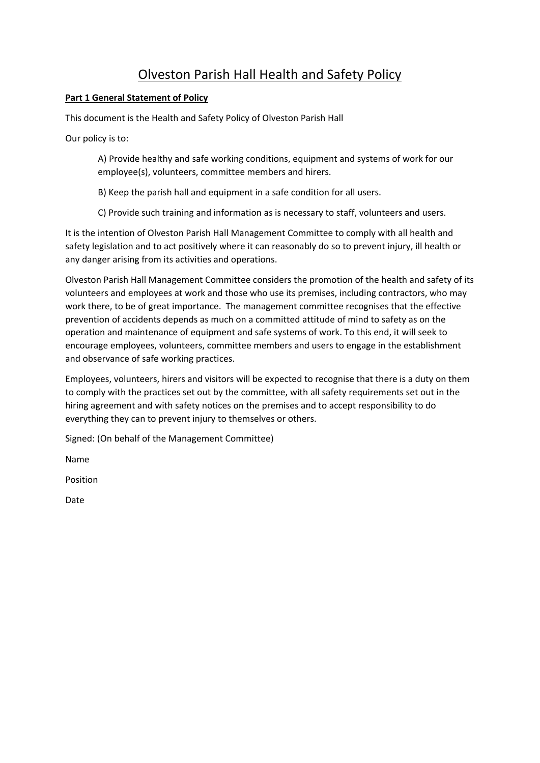# Olveston Parish Hall Health and Safety Policy

# **Part 1 General Statement of Policy**

This document is the Health and Safety Policy of Olveston Parish Hall

Our policy is to:

A) Provide healthy and safe working conditions, equipment and systems of work for our employee(s), volunteers, committee members and hirers.

B) Keep the parish hall and equipment in a safe condition for all users.

C) Provide such training and information as is necessary to staff, volunteers and users.

It is the intention of Olveston Parish Hall Management Committee to comply with all health and safety legislation and to act positively where it can reasonably do so to prevent injury, ill health or any danger arising from its activities and operations.

Olveston Parish Hall Management Committee considers the promotion of the health and safety of its volunteers and employees at work and those who use its premises, including contractors, who may work there, to be of great importance. The management committee recognises that the effective prevention of accidents depends as much on a committed attitude of mind to safety as on the operation and maintenance of equipment and safe systems of work. To this end, it will seek to encourage employees, volunteers, committee members and users to engage in the establishment and observance of safe working practices.

Employees, volunteers, hirers and visitors will be expected to recognise that there is a duty on them to comply with the practices set out by the committee, with all safety requirements set out in the hiring agreement and with safety notices on the premises and to accept responsibility to do everything they can to prevent injury to themselves or others.

Signed: (On behalf of the Management Committee)

Name

Position

Date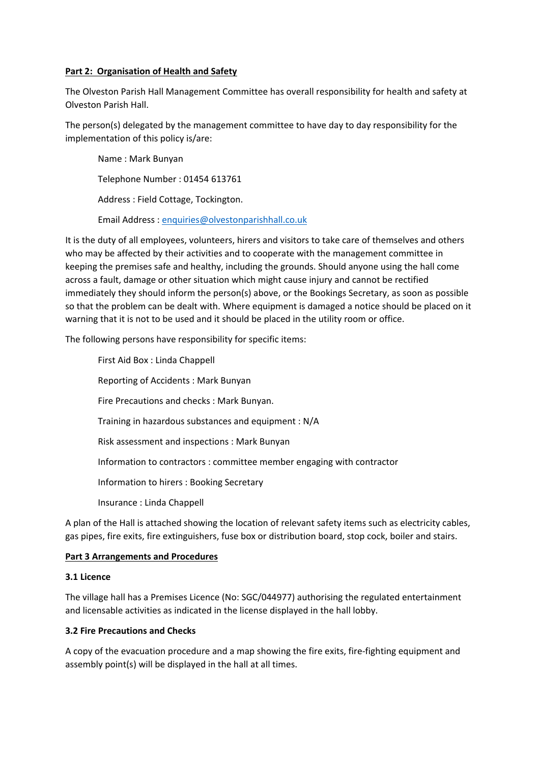#### **Part 2: Organisation of Health and Safety**

The Olveston Parish Hall Management Committee has overall responsibility for health and safety at Olveston Parish Hall.

The person(s) delegated by the management committee to have day to day responsibility for the implementation of this policy is/are:

Name : Mark Bunyan Telephone Number : 01454 613761 Address : Field Cottage, Tockington. Email Address : enquiries@olvestonparishhall.co.uk

It is the duty of all employees, volunteers, hirers and visitors to take care of themselves and others who may be affected by their activities and to cooperate with the management committee in keeping the premises safe and healthy, including the grounds. Should anyone using the hall come across a fault, damage or other situation which might cause injury and cannot be rectified immediately they should inform the person(s) above, or the Bookings Secretary, as soon as possible so that the problem can be dealt with. Where equipment is damaged a notice should be placed on it warning that it is not to be used and it should be placed in the utility room or office.

The following persons have responsibility for specific items:

First Aid Box : Linda Chappell Reporting of Accidents : Mark Bunyan Fire Precautions and checks : Mark Bunyan. Training in hazardous substances and equipment : N/A Risk assessment and inspections : Mark Bunyan Information to contractors : committee member engaging with contractor Information to hirers : Booking Secretary Insurance : Linda Chappell

A plan of the Hall is attached showing the location of relevant safety items such as electricity cables, gas pipes, fire exits, fire extinguishers, fuse box or distribution board, stop cock, boiler and stairs.

#### **Part 3 Arrangements and Procedures**

#### **3.1 Licence**

The village hall has a Premises Licence (No: SGC/044977) authorising the regulated entertainment and licensable activities as indicated in the license displayed in the hall lobby.

#### **3.2 Fire Precautions and Checks**

A copy of the evacuation procedure and a map showing the fire exits, fire‐fighting equipment and assembly point(s) will be displayed in the hall at all times.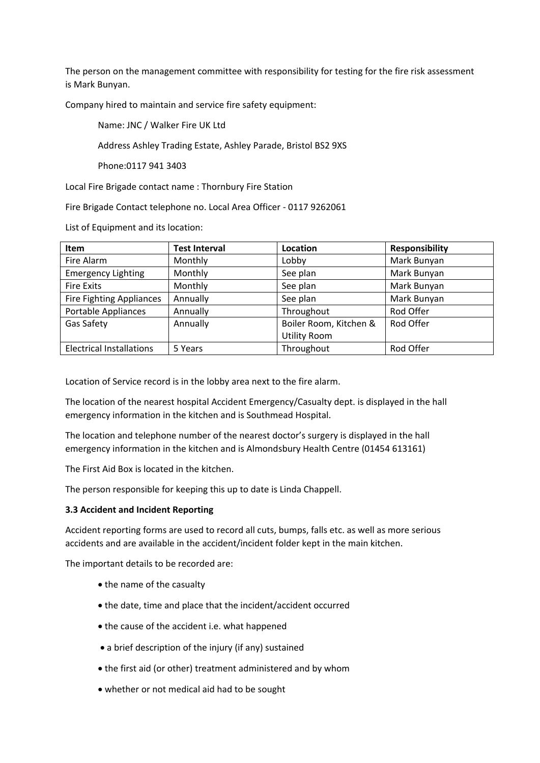The person on the management committee with responsibility for testing for the fire risk assessment is Mark Bunyan.

Company hired to maintain and service fire safety equipment:

Name: JNC / Walker Fire UK Ltd

Address Ashley Trading Estate, Ashley Parade, Bristol BS2 9XS

Phone:0117 941 3403

Local Fire Brigade contact name : Thornbury Fire Station

Fire Brigade Contact telephone no. Local Area Officer ‐ 0117 9262061

List of Equipment and its location:

| <b>Item</b>                     | <b>Test Interval</b> | Location               | Responsibility |
|---------------------------------|----------------------|------------------------|----------------|
| Fire Alarm                      | Monthly              | Lobby                  | Mark Bunyan    |
| <b>Emergency Lighting</b>       | Monthly              | See plan               | Mark Bunyan    |
| <b>Fire Exits</b>               | Monthly              | See plan               | Mark Bunyan    |
| <b>Fire Fighting Appliances</b> | Annually             | See plan               | Mark Bunyan    |
| Portable Appliances             | Annually             | Throughout             | Rod Offer      |
| Gas Safety                      | Annually             | Boiler Room, Kitchen & | Rod Offer      |
|                                 |                      | <b>Utility Room</b>    |                |
| <b>Electrical Installations</b> | 5 Years              | Throughout             | Rod Offer      |

Location of Service record is in the lobby area next to the fire alarm.

The location of the nearest hospital Accident Emergency/Casualty dept. is displayed in the hall emergency information in the kitchen and is Southmead Hospital.

The location and telephone number of the nearest doctor's surgery is displayed in the hall emergency information in the kitchen and is Almondsbury Health Centre (01454 613161)

The First Aid Box is located in the kitchen.

The person responsible for keeping this up to date is Linda Chappell.

#### **3.3 Accident and Incident Reporting**

Accident reporting forms are used to record all cuts, bumps, falls etc. as well as more serious accidents and are available in the accident/incident folder kept in the main kitchen.

The important details to be recorded are:

- the name of the casualty
- the date, time and place that the incident/accident occurred
- the cause of the accident i.e. what happened
- a brief description of the injury (if any) sustained
- the first aid (or other) treatment administered and by whom
- whether or not medical aid had to be sought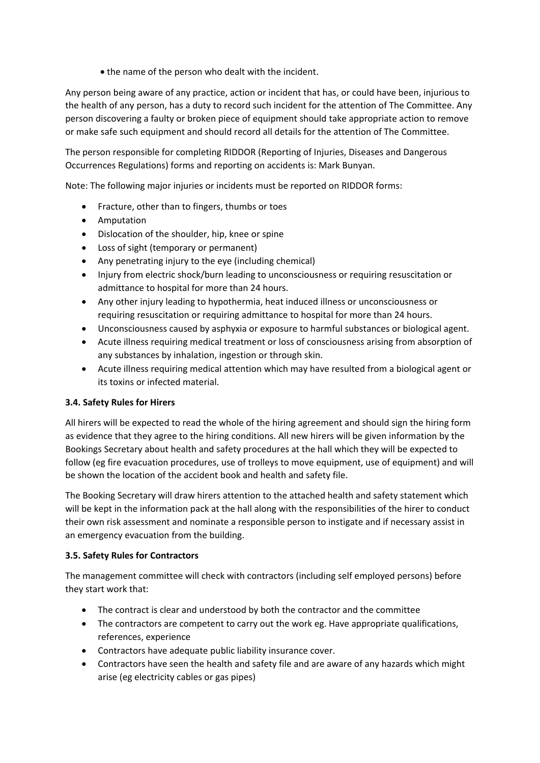• the name of the person who dealt with the incident.

Any person being aware of any practice, action or incident that has, or could have been, injurious to the health of any person, has a duty to record such incident for the attention of The Committee. Any person discovering a faulty or broken piece of equipment should take appropriate action to remove or make safe such equipment and should record all details for the attention of The Committee.

The person responsible for completing RIDDOR (Reporting of Injuries, Diseases and Dangerous Occurrences Regulations) forms and reporting on accidents is: Mark Bunyan.

Note: The following major injuries or incidents must be reported on RIDDOR forms:

- Fracture, other than to fingers, thumbs or toes
- Amputation
- Dislocation of the shoulder, hip, knee or spine
- Loss of sight (temporary or permanent)
- Any penetrating injury to the eye (including chemical)
- Injury from electric shock/burn leading to unconsciousness or requiring resuscitation or admittance to hospital for more than 24 hours.
- Any other injury leading to hypothermia, heat induced illness or unconsciousness or requiring resuscitation or requiring admittance to hospital for more than 24 hours.
- Unconsciousness caused by asphyxia or exposure to harmful substances or biological agent.
- Acute illness requiring medical treatment or loss of consciousness arising from absorption of any substances by inhalation, ingestion or through skin.
- Acute illness requiring medical attention which may have resulted from a biological agent or its toxins or infected material.

#### **3.4. Safety Rules for Hirers**

All hirers will be expected to read the whole of the hiring agreement and should sign the hiring form as evidence that they agree to the hiring conditions. All new hirers will be given information by the Bookings Secretary about health and safety procedures at the hall which they will be expected to follow (eg fire evacuation procedures, use of trolleys to move equipment, use of equipment) and will be shown the location of the accident book and health and safety file.

The Booking Secretary will draw hirers attention to the attached health and safety statement which will be kept in the information pack at the hall along with the responsibilities of the hirer to conduct their own risk assessment and nominate a responsible person to instigate and if necessary assist in an emergency evacuation from the building.

#### **3.5. Safety Rules for Contractors**

The management committee will check with contractors (including self employed persons) before they start work that:

- The contract is clear and understood by both the contractor and the committee
- The contractors are competent to carry out the work eg. Have appropriate qualifications, references, experience
- Contractors have adequate public liability insurance cover.
- Contractors have seen the health and safety file and are aware of any hazards which might arise (eg electricity cables or gas pipes)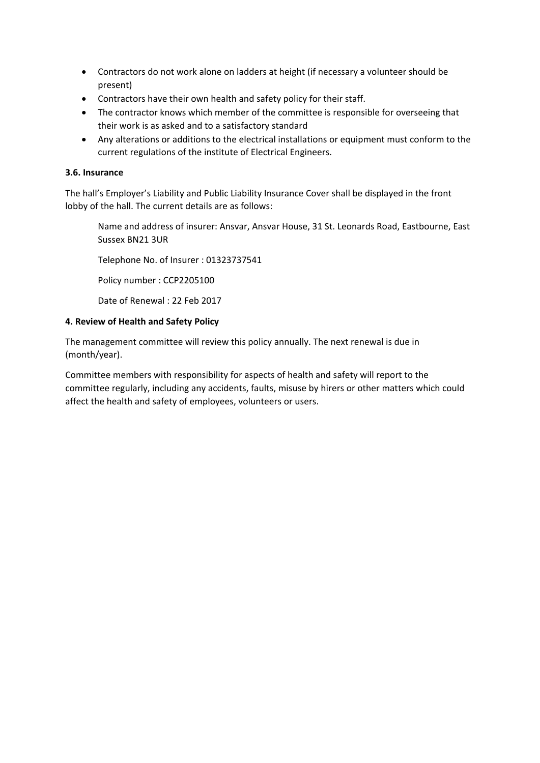- Contractors do not work alone on ladders at height (if necessary a volunteer should be present)
- Contractors have their own health and safety policy for their staff.
- The contractor knows which member of the committee is responsible for overseeing that their work is as asked and to a satisfactory standard
- Any alterations or additions to the electrical installations or equipment must conform to the current regulations of the institute of Electrical Engineers.

## **3.6. Insurance**

The hall's Employer's Liability and Public Liability Insurance Cover shall be displayed in the front lobby of the hall. The current details are as follows:

Name and address of insurer: Ansvar, Ansvar House, 31 St. Leonards Road, Eastbourne, East Sussex BN21 3UR

Telephone No. of Insurer : 01323737541

Policy number : CCP2205100

Date of Renewal : 22 Feb 2017

## **4. Review of Health and Safety Policy**

The management committee will review this policy annually. The next renewal is due in (month/year).

Committee members with responsibility for aspects of health and safety will report to the committee regularly, including any accidents, faults, misuse by hirers or other matters which could affect the health and safety of employees, volunteers or users.